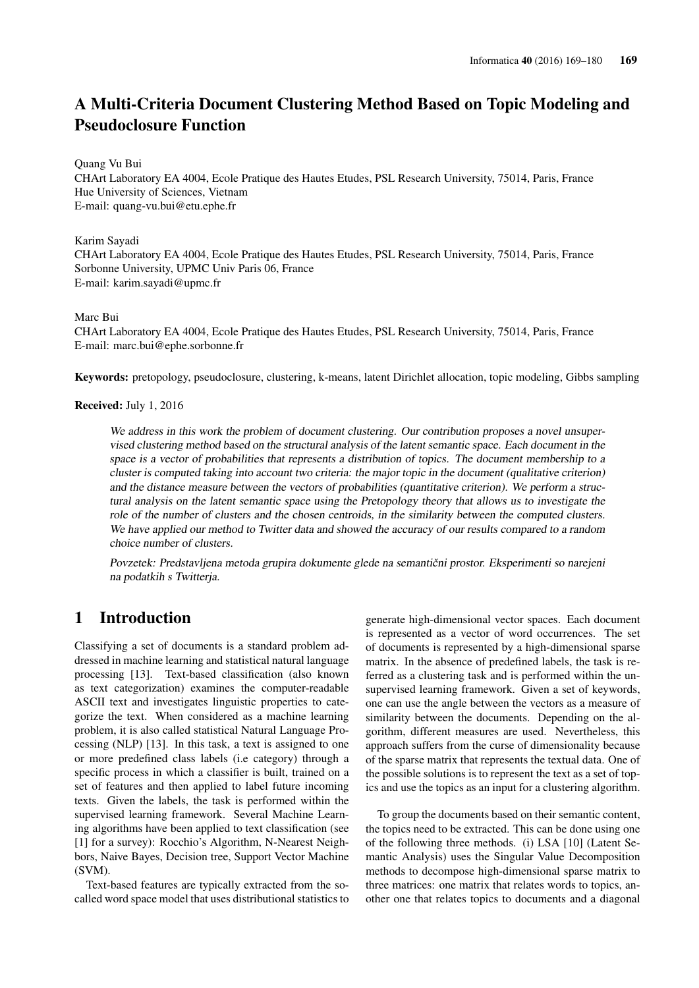# A Multi-Criteria Document Clustering Method Based on Topic Modeling and Pseudoclosure Function

#### Quang Vu Bui

CHArt Laboratory EA 4004, Ecole Pratique des Hautes Etudes, PSL Research University, 75014, Paris, France Hue University of Sciences, Vietnam E-mail: quang-vu.bui@etu.ephe.fr

#### Karim Sayadi

CHArt Laboratory EA 4004, Ecole Pratique des Hautes Etudes, PSL Research University, 75014, Paris, France Sorbonne University, UPMC Univ Paris 06, France E-mail: karim.sayadi@upmc.fr

#### Marc Bui

CHArt Laboratory EA 4004, Ecole Pratique des Hautes Etudes, PSL Research University, 75014, Paris, France E-mail: marc.bui@ephe.sorbonne.fr

Keywords: pretopology, pseudoclosure, clustering, k-means, latent Dirichlet allocation, topic modeling, Gibbs sampling

### Received: July 1, 2016

We address in this work the problem of document clustering. Our contribution proposes a novel unsupervised clustering method based on the structural analysis of the latent semantic space. Each document in the space is a vector of probabilities that represents a distribution of topics. The document membership to a cluster is computed taking into account two criteria: the major topic in the document (qualitative criterion) and the distance measure between the vectors of probabilities (quantitative criterion). We perform a structural analysis on the latent semantic space using the Pretopology theory that allows us to investigate the role of the number of clusters and the chosen centroids, in the similarity between the computed clusters. We have applied our method to Twitter data and showed the accuracy of our results compared to a random choice number of clusters.

Povzetek: Predstavljena metoda grupira dokumente glede na semantični prostor. Eksperimenti so narejeni na podatkih s Twitterja.

## 1 Introduction

Classifying a set of documents is a standard problem addressed in machine learning and statistical natural language processing [13]. Text-based classification (also known as text categorization) examines the computer-readable ASCII text and investigates linguistic properties to categorize the text. When considered as a machine learning problem, it is also called statistical Natural Language Processing (NLP) [13]. In this task, a text is assigned to one or more predefined class labels (i.e category) through a specific process in which a classifier is built, trained on a set of features and then applied to label future incoming texts. Given the labels, the task is performed within the supervised learning framework. Several Machine Learning algorithms have been applied to text classification (see [1] for a survey): Rocchio's Algorithm, N-Nearest Neighbors, Naive Bayes, Decision tree, Support Vector Machine (SVM).

Text-based features are typically extracted from the socalled word space model that uses distributional statistics to generate high-dimensional vector spaces. Each document is represented as a vector of word occurrences. The set of documents is represented by a high-dimensional sparse matrix. In the absence of predefined labels, the task is referred as a clustering task and is performed within the unsupervised learning framework. Given a set of keywords, one can use the angle between the vectors as a measure of similarity between the documents. Depending on the algorithm, different measures are used. Nevertheless, this approach suffers from the curse of dimensionality because of the sparse matrix that represents the textual data. One of the possible solutions is to represent the text as a set of topics and use the topics as an input for a clustering algorithm.

To group the documents based on their semantic content, the topics need to be extracted. This can be done using one of the following three methods. (i) LSA [10] (Latent Semantic Analysis) uses the Singular Value Decomposition methods to decompose high-dimensional sparse matrix to three matrices: one matrix that relates words to topics, another one that relates topics to documents and a diagonal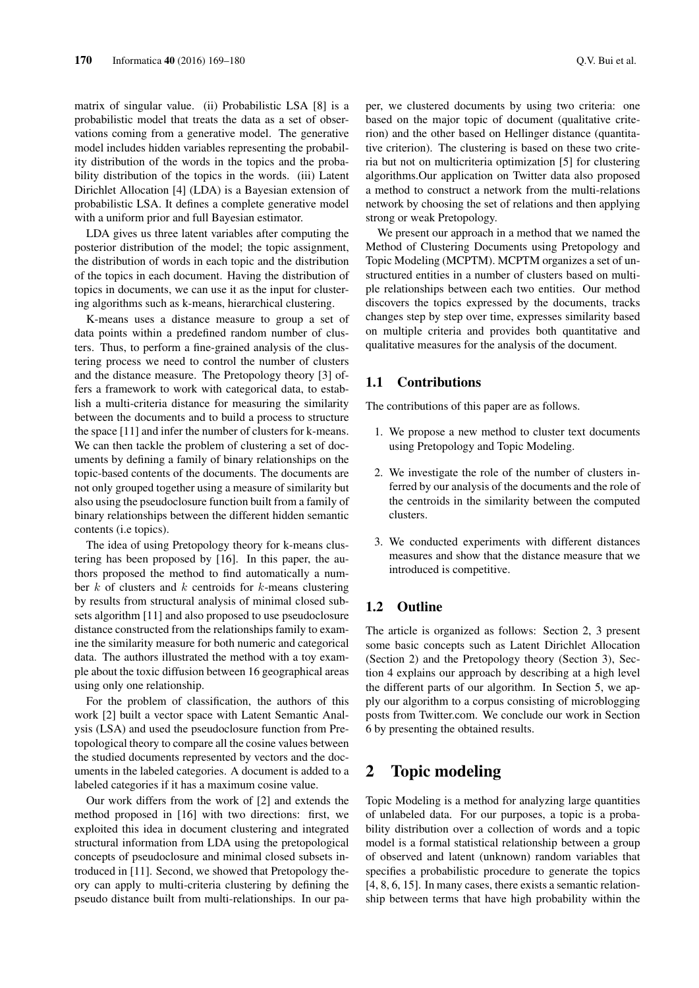matrix of singular value. (ii) Probabilistic LSA [8] is a probabilistic model that treats the data as a set of observations coming from a generative model. The generative model includes hidden variables representing the probability distribution of the words in the topics and the probability distribution of the topics in the words. (iii) Latent Dirichlet Allocation [4] (LDA) is a Bayesian extension of probabilistic LSA. It defines a complete generative model with a uniform prior and full Bayesian estimator.

LDA gives us three latent variables after computing the posterior distribution of the model; the topic assignment, the distribution of words in each topic and the distribution of the topics in each document. Having the distribution of topics in documents, we can use it as the input for clustering algorithms such as k-means, hierarchical clustering.

K-means uses a distance measure to group a set of data points within a predefined random number of clusters. Thus, to perform a fine-grained analysis of the clustering process we need to control the number of clusters and the distance measure. The Pretopology theory [3] offers a framework to work with categorical data, to establish a multi-criteria distance for measuring the similarity between the documents and to build a process to structure the space [11] and infer the number of clusters for k-means. We can then tackle the problem of clustering a set of documents by defining a family of binary relationships on the topic-based contents of the documents. The documents are not only grouped together using a measure of similarity but also using the pseudoclosure function built from a family of binary relationships between the different hidden semantic contents (i.e topics).

The idea of using Pretopology theory for k-means clustering has been proposed by [16]. In this paper, the authors proposed the method to find automatically a number  $k$  of clusters and  $k$  centroids for  $k$ -means clustering by results from structural analysis of minimal closed subsets algorithm [11] and also proposed to use pseudoclosure distance constructed from the relationships family to examine the similarity measure for both numeric and categorical data. The authors illustrated the method with a toy example about the toxic diffusion between 16 geographical areas using only one relationship.

For the problem of classification, the authors of this work [2] built a vector space with Latent Semantic Analysis (LSA) and used the pseudoclosure function from Pretopological theory to compare all the cosine values between the studied documents represented by vectors and the documents in the labeled categories. A document is added to a labeled categories if it has a maximum cosine value.

Our work differs from the work of [2] and extends the method proposed in [16] with two directions: first, we exploited this idea in document clustering and integrated structural information from LDA using the pretopological concepts of pseudoclosure and minimal closed subsets introduced in [11]. Second, we showed that Pretopology theory can apply to multi-criteria clustering by defining the pseudo distance built from multi-relationships. In our paper, we clustered documents by using two criteria: one based on the major topic of document (qualitative criterion) and the other based on Hellinger distance (quantitative criterion). The clustering is based on these two criteria but not on multicriteria optimization [5] for clustering algorithms.Our application on Twitter data also proposed a method to construct a network from the multi-relations network by choosing the set of relations and then applying strong or weak Pretopology.

We present our approach in a method that we named the Method of Clustering Documents using Pretopology and Topic Modeling (MCPTM). MCPTM organizes a set of unstructured entities in a number of clusters based on multiple relationships between each two entities. Our method discovers the topics expressed by the documents, tracks changes step by step over time, expresses similarity based on multiple criteria and provides both quantitative and qualitative measures for the analysis of the document.

## 1.1 Contributions

The contributions of this paper are as follows.

- 1. We propose a new method to cluster text documents using Pretopology and Topic Modeling.
- 2. We investigate the role of the number of clusters inferred by our analysis of the documents and the role of the centroids in the similarity between the computed clusters.
- 3. We conducted experiments with different distances measures and show that the distance measure that we introduced is competitive.

## 1.2 Outline

The article is organized as follows: Section 2, 3 present some basic concepts such as Latent Dirichlet Allocation (Section 2) and the Pretopology theory (Section 3), Section 4 explains our approach by describing at a high level the different parts of our algorithm. In Section 5, we apply our algorithm to a corpus consisting of microblogging posts from Twitter.com. We conclude our work in Section 6 by presenting the obtained results.

# 2 Topic modeling

Topic Modeling is a method for analyzing large quantities of unlabeled data. For our purposes, a topic is a probability distribution over a collection of words and a topic model is a formal statistical relationship between a group of observed and latent (unknown) random variables that specifies a probabilistic procedure to generate the topics [4, 8, 6, 15]. In many cases, there exists a semantic relationship between terms that have high probability within the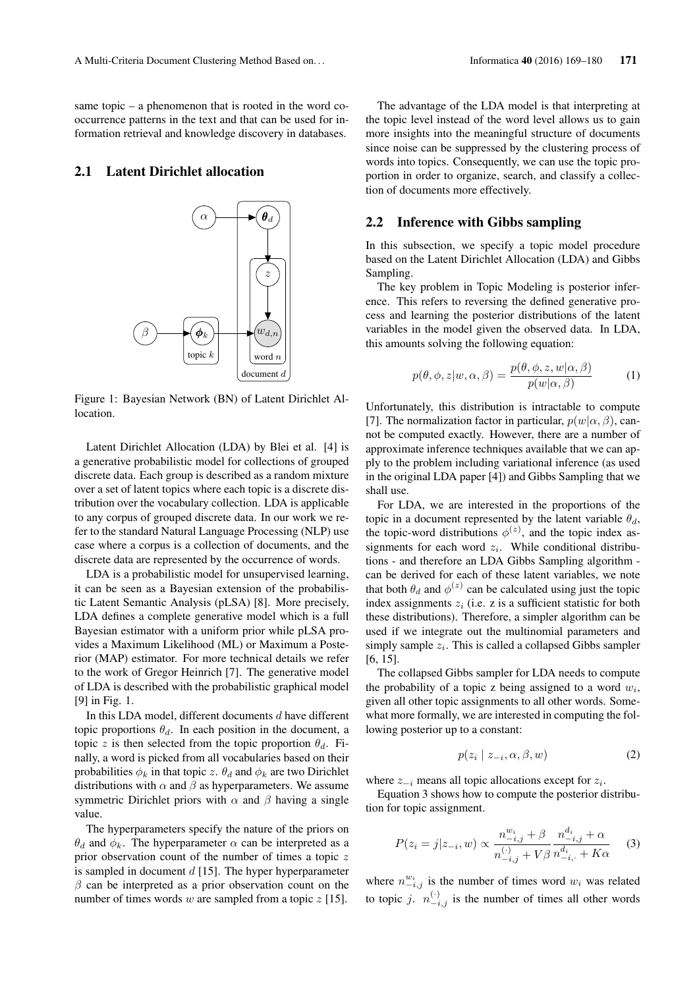same topic – a phenomenon that is rooted in the word cooccurrence patterns in the text and that can be used for information retrieval and knowledge discovery in databases.

#### 2.1 Latent Dirichlet allocation



Figure 1: Bayesian Network (BN) of Latent Dirichlet Allocation.

Latent Dirichlet Allocation (LDA) by Blei et al. [4] is a generative probabilistic model for collections of grouped discrete data. Each group is described as a random mixture over a set of latent topics where each topic is a discrete distribution over the vocabulary collection. LDA is applicable to any corpus of grouped discrete data. In our work we refer to the standard Natural Language Processing (NLP) use case where a corpus is a collection of documents, and the discrete data are represented by the occurrence of words.

LDA is a probabilistic model for unsupervised learning, it can be seen as a Bayesian extension of the probabilistic Latent Semantic Analysis (pLSA) [8]. More precisely, LDA defines a complete generative model which is a full Bayesian estimator with a uniform prior while pLSA provides a Maximum Likelihood (ML) or Maximum a Posterior (MAP) estimator. For more technical details we refer to the work of Gregor Heinrich [7]. The generative model of LDA is described with the probabilistic graphical model [9] in Fig. 1.

In this LDA model, different documents d have different topic proportions  $\theta_d$ . In each position in the document, a topic z is then selected from the topic proportion  $\theta_d$ . Finally, a word is picked from all vocabularies based on their probabilities  $\phi_k$  in that topic z.  $\theta_d$  and  $\phi_k$  are two Dirichlet distributions with  $\alpha$  and  $\beta$  as hyperparameters. We assume symmetric Dirichlet priors with  $\alpha$  and  $\beta$  having a single value.

The hyperparameters specify the nature of the priors on  $\theta_d$  and  $\phi_k$ . The hyperparameter  $\alpha$  can be interpreted as a prior observation count of the number of times a topic z is sampled in document  $d$  [15]. The hyper hyperparameter  $\beta$  can be interpreted as a prior observation count on the number of times words w are sampled from a topic  $z$  [15].

The advantage of the LDA model is that interpreting at the topic level instead of the word level allows us to gain more insights into the meaningful structure of documents since noise can be suppressed by the clustering process of words into topics. Consequently, we can use the topic proportion in order to organize, search, and classify a collection of documents more effectively.

### 2.2 Inference with Gibbs sampling

In this subsection, we specify a topic model procedure based on the Latent Dirichlet Allocation (LDA) and Gibbs Sampling.

The key problem in Topic Modeling is posterior inference. This refers to reversing the defined generative process and learning the posterior distributions of the latent variables in the model given the observed data. In LDA, this amounts solving the following equation:

$$
p(\theta, \phi, z | w, \alpha, \beta) = \frac{p(\theta, \phi, z, w | \alpha, \beta)}{p(w | \alpha, \beta)}
$$
(1)

Unfortunately, this distribution is intractable to compute [7]. The normalization factor in particular,  $p(w|\alpha, \beta)$ , cannot be computed exactly. However, there are a number of approximate inference techniques available that we can apply to the problem including variational inference (as used in the original LDA paper [4]) and Gibbs Sampling that we shall use.

For LDA, we are interested in the proportions of the topic in a document represented by the latent variable  $\theta_d$ , the topic-word distributions  $\phi^{(z)}$ , and the topic index assignments for each word  $z_i$ . While conditional distributions - and therefore an LDA Gibbs Sampling algorithm can be derived for each of these latent variables, we note that both  $\theta_d$  and  $\phi^{(z)}$  can be calculated using just the topic index assignments  $z_i$  (i.e. z is a sufficient statistic for both these distributions). Therefore, a simpler algorithm can be used if we integrate out the multinomial parameters and simply sample  $z_i$ . This is called a collapsed Gibbs sampler [6, 15].

The collapsed Gibbs sampler for LDA needs to compute the probability of a topic z being assigned to a word  $w_i$ , given all other topic assignments to all other words. Somewhat more formally, we are interested in computing the following posterior up to a constant:

$$
p(z_i \mid z_{-i}, \alpha, \beta, w) \tag{2}
$$

where  $z_{-i}$  means all topic allocations except for  $z_i$ .

Equation 3 shows how to compute the posterior distribution for topic assignment.

$$
P(z_i = j | z_{-i}, w) \propto \frac{n_{-i,j}^{w_i} + \beta}{n_{-i,j}^{(\cdot)} + V\beta} \frac{n_{-i,j}^{d_i} + \alpha}{n_{-i,j}^{d_i} + K\alpha}
$$
 (3)

where  $n_{-i,j}^{w_i}$  is the number of times word  $w_i$  was related to topic j.  $n_{-i,j}^{(\cdot)}$  is the number of times all other words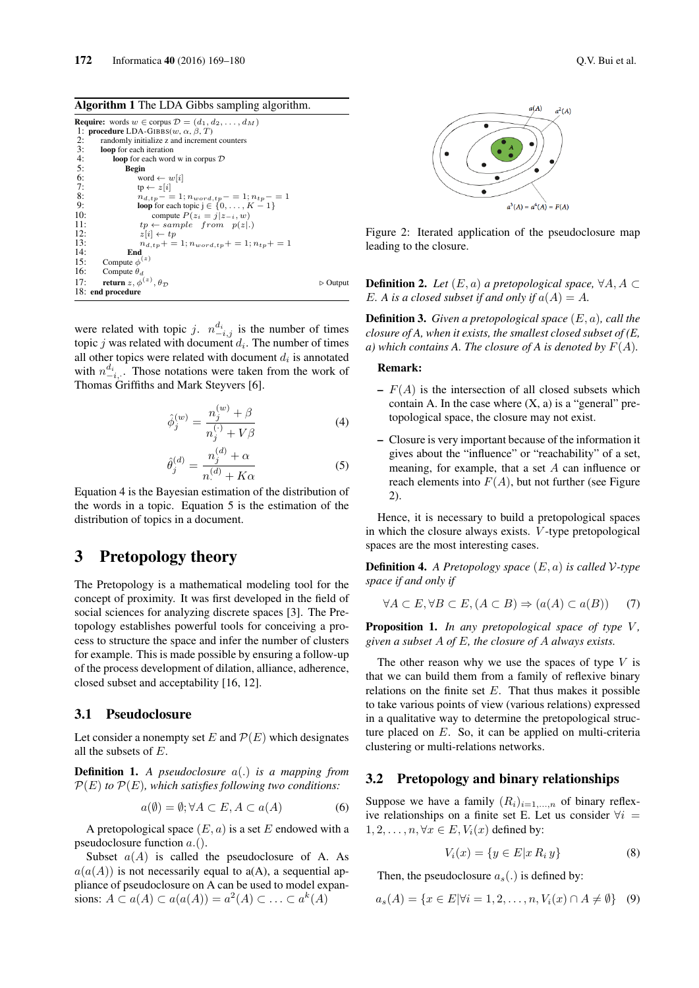|     | <b>Require:</b> words $w \in \text{corpus } \mathcal{D} = (d_1, d_2, \dots, d_M)$ |                         |
|-----|-----------------------------------------------------------------------------------|-------------------------|
|     | 1: procedure LDA-GIBBS(w, $\alpha$ , $\beta$ , T)                                 |                         |
| 2:  | randomly initialize z and increment counters                                      |                         |
| 3:  | loop for each iteration                                                           |                         |
| 4:  | <b>loop</b> for each word w in corpus $D$                                         |                         |
| -5: | Begin                                                                             |                         |
| 6:  | word $\leftarrow w[i]$                                                            |                         |
| 7:  | $tp \leftarrow z[i]$                                                              |                         |
| 8:  | $n_{d,tp} - 1; n_{word,tp} - 1; n_{tp} - 1$                                       |                         |
| 9:  | <b>loop</b> for each topic $j \in \{0, , K - 1\}$                                 |                         |
| 10: | compute $P(z_i = j   z_{-i}, w)$                                                  |                         |
| 11: | $tp \leftarrow sample$ from $p(z .)$                                              |                         |
| 12: | $z[i] \leftarrow tp$                                                              |                         |
| 13: | $n_{d,tp}$ + = 1; $n_{word,tp}$ + = 1; $n_{tp}$ + = 1                             |                         |
| 14: | End                                                                               |                         |
| 15: | Compute $\phi^{(z)}$                                                              |                         |
| 16: | Compute $\theta_d$                                                                |                         |
| 17: | return z, $\phi^{(z)}$ , $\theta_{\mathcal{D}}$                                   | $\triangleright$ Output |
|     | 18: end procedure                                                                 |                         |

were related with topic j.  $n_{-i,j}^{d_i}$  is the number of times topic  $j$  was related with document  $d_i$ . The number of times all other topics were related with document  $d_i$  is annotated with  $n_{-i,\cdot}^{d_i}$ . Those notations were taken from the work of Thomas Griffiths and Mark Steyvers [6].

$$
\hat{\phi}_j^{(w)} = \frac{n_j^{(w)} + \beta}{n_j^{(\cdot)} + V\beta} \tag{4}
$$

$$
\hat{\theta}_{j}^{(d)} = \frac{n_{j}^{(d)} + \alpha}{n_{.}^{(d)} + K\alpha} \tag{5}
$$

Equation 4 is the Bayesian estimation of the distribution of the words in a topic. Equation 5 is the estimation of the distribution of topics in a document.

# 3 Pretopology theory

The Pretopology is a mathematical modeling tool for the concept of proximity. It was first developed in the field of social sciences for analyzing discrete spaces [3]. The Pretopology establishes powerful tools for conceiving a process to structure the space and infer the number of clusters for example. This is made possible by ensuring a follow-up of the process development of dilation, alliance, adherence, closed subset and acceptability [16, 12].

## 3.1 Pseudoclosure

Let consider a nonempty set E and  $\mathcal{P}(E)$  which designates all the subsets of E.

Definition 1. *A pseudoclosure* a(.) *is a mapping from*  $\mathcal{P}(E)$  *to*  $\mathcal{P}(E)$ *, which satisfies following two conditions:* 

$$
a(\emptyset) = \emptyset; \forall A \subset E, A \subset a(A) \tag{6}
$$

A pretopological space  $(E, a)$  is a set E endowed with a pseudoclosure function  $a($ ).

Subset  $a(A)$  is called the pseudoclosure of A. As  $a(a(A))$  is not necessarily equal to  $a(A)$ , a sequential appliance of pseudoclosure on A can be used to model expansions:  $A \subset a(A) \subset a(a(A)) = a^2(A) \subset \ldots \subset a^k(A)$ 



Figure 2: Iterated application of the pseudoclosure map leading to the closure.

**Definition 2.** *Let*  $(E, a)$  *a pretopological space,*  $\forall A, A \subset$ E. A is a closed subset if and only if  $a(A) = A$ .

Definition 3. *Given a pretopological space* (E, a)*, call the closure of A, when it exists, the smallest closed subset of (E, a)* which contains A. The closure of A is denoted by  $F(A)$ .

### Remark:

- $F(A)$  is the intersection of all closed subsets which contain A. In the case where  $(X, a)$  is a "general" pretopological space, the closure may not exist.
- Closure is very important because of the information it gives about the "influence" or "reachability" of a set, meaning, for example, that a set A can influence or reach elements into  $F(A)$ , but not further (see Figure 2).

Hence, it is necessary to build a pretopological spaces in which the closure always exists. V -type pretopological spaces are the most interesting cases.

Definition 4. *A Pretopology space* (E, a) *is called* V*-type space if and only if*

$$
\forall A \subset E, \forall B \subset E, (A \subset B) \Rightarrow (a(A) \subset a(B)) \tag{7}
$$

Proposition 1. *In any pretopological space of type V*, *given a subset* A *of* E*, the closure of* A *always exists.*

The other reason why we use the spaces of type  $V$  is that we can build them from a family of reflexive binary relations on the finite set  $E$ . That thus makes it possible to take various points of view (various relations) expressed in a qualitative way to determine the pretopological structure placed on E. So, it can be applied on multi-criteria clustering or multi-relations networks.

## 3.2 Pretopology and binary relationships

Suppose we have a family  $(R_i)_{i=1,...,n}$  of binary reflexive relationships on a finite set E. Let us consider  $\forall i =$  $1, 2, \ldots, n, \forall x \in E, V_i(x)$  defined by:

$$
V_i(x) = \{ y \in E | x R_i y \}
$$
\n
$$
(8)
$$

Then, the pseudoclosure  $a_s(.)$  is defined by:

$$
a_s(A) = \{ x \in E | \forall i = 1, 2, \dots, n, V_i(x) \cap A \neq \emptyset \} \quad (9)
$$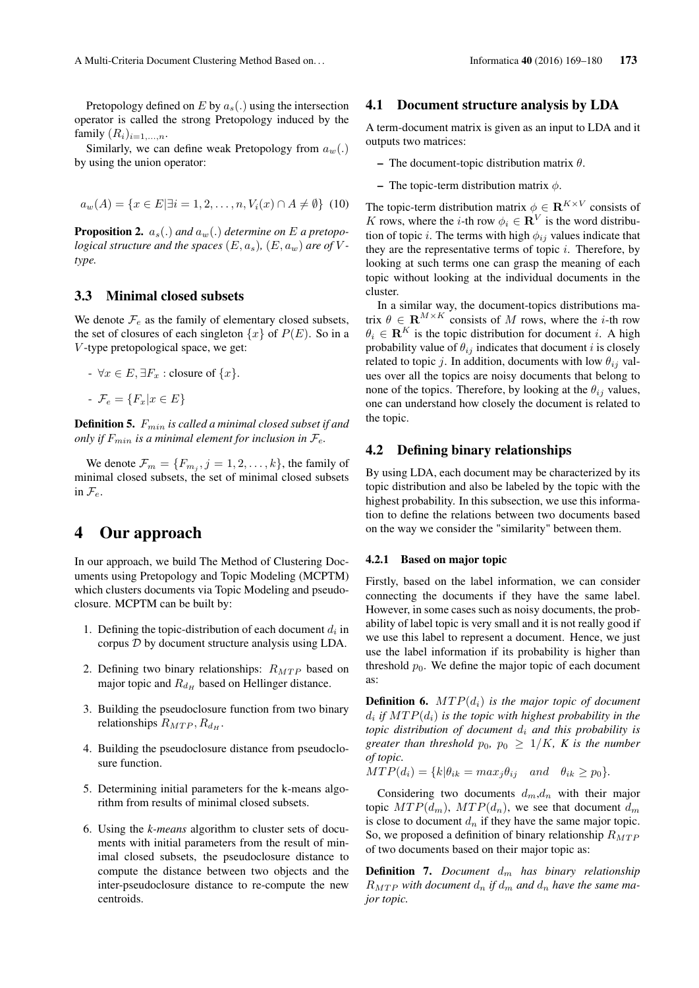Pretopology defined on E by  $a_s(.)$  using the intersection operator is called the strong Pretopology induced by the family  $(R_i)_{i=1,\ldots,n}$ .

Similarly, we can define weak Pretopology from  $a_w(.)$ by using the union operator:

$$
a_w(A) = \{x \in E | \exists i = 1, 2, \dots, n, V_i(x) \cap A \neq \emptyset\} \tag{10}
$$

**Proposition 2.**  $a_s(.)$  and  $a_w(.)$  determine on E a pretopo*logical structure and the spaces*  $(E, a_s)$ ,  $(E, a_w)$  *are of*  $V$ *type.*

### 3.3 Minimal closed subsets

We denote  $\mathcal{F}_e$  as the family of elementary closed subsets, the set of closures of each singleton  $\{x\}$  of  $P(E)$ . So in a V -type pretopological space, we get:

- $\forall x \in E$ ,  $\exists F_x$ : closure of  $\{x\}$ .
- $\mathcal{F}_e = \{F_x | x \in E\}$

Definition 5. Fmin *is called a minimal closed subset if and only if*  $F_{min}$  *is a minimal element for inclusion in*  $\mathcal{F}_e$ *.* 

We denote  $\mathcal{F}_m = \{F_{m_j}, j = 1, 2, \dots, k\}$ , the family of minimal closed subsets, the set of minimal closed subsets in  $\mathcal{F}_e$ .

# 4 Our approach

In our approach, we build The Method of Clustering Documents using Pretopology and Topic Modeling (MCPTM) which clusters documents via Topic Modeling and pseudoclosure. MCPTM can be built by:

- 1. Defining the topic-distribution of each document  $d_i$  in corpus D by document structure analysis using LDA.
- 2. Defining two binary relationships:  $R_{MTP}$  based on major topic and  $R_{dH}$  based on Hellinger distance.
- 3. Building the pseudoclosure function from two binary relationships  $R_{MTP}, R_{d_H}$ .
- 4. Building the pseudoclosure distance from pseudoclosure function.
- 5. Determining initial parameters for the k-means algorithm from results of minimal closed subsets.
- 6. Using the *k-means* algorithm to cluster sets of documents with initial parameters from the result of minimal closed subsets, the pseudoclosure distance to compute the distance between two objects and the inter-pseudoclosure distance to re-compute the new centroids.

### 4.1 Document structure analysis by LDA

A term-document matrix is given as an input to LDA and it outputs two matrices:

- The document-topic distribution matrix  $\theta$ .
- The topic-term distribution matrix  $\phi$ .

The topic-term distribution matrix  $\phi \in \mathbf{R}^{K \times V}$  consists of K rows, where the *i*-th row  $\phi_i \in \mathbb{R}^V$  is the word distribution of topic *i*. The terms with high  $\phi_{ij}$  values indicate that they are the representative terms of topic  $i$ . Therefore, by looking at such terms one can grasp the meaning of each topic without looking at the individual documents in the cluster.

In a similar way, the document-topics distributions matrix  $\theta \in \mathbf{R}^{M \times K}$  consists of M rows, where the *i*-th row  $\theta_i \in \mathbb{R}^K$  is the topic distribution for document i. A high probability value of  $\theta_{ij}$  indicates that document i is closely related to topic j. In addition, documents with low  $\theta_{ij}$  values over all the topics are noisy documents that belong to none of the topics. Therefore, by looking at the  $\theta_{ij}$  values, one can understand how closely the document is related to the topic.

### 4.2 Defining binary relationships

By using LDA, each document may be characterized by its topic distribution and also be labeled by the topic with the highest probability. In this subsection, we use this information to define the relations between two documents based on the way we consider the "similarity" between them.

#### 4.2.1 Based on major topic

Firstly, based on the label information, we can consider connecting the documents if they have the same label. However, in some cases such as noisy documents, the probability of label topic is very small and it is not really good if we use this label to represent a document. Hence, we just use the label information if its probability is higher than threshold  $p_0$ . We define the major topic of each document as:

**Definition 6.**  $MTP(d_i)$  *is the major topic of document*  $d_i$  if  $MTP(d_i)$  is the topic with highest probability in the *topic distribution of document*  $d_i$  *and this probability is greater than threshold*  $p_0$ ,  $p_0 \geq 1/K$ *, K is the number of topic.*

$$
MTP(d_i) = \{k | \theta_{ik} = max_j \theta_{ij} \quad and \quad \theta_{ik} \ge p_0 \}.
$$

Considering two documents  $d_m, d_n$  with their major topic  $MTP(d_m)$ ,  $MTP(d_n)$ , we see that document  $d_m$ is close to document  $d_n$  if they have the same major topic. So, we proposed a definition of binary relationship  $R_{MTP}$ of two documents based on their major topic as:

**Definition 7.** *Document*  $d_m$  *has binary relationship*  $R_{MTP}$  with document  $d_n$  if  $d_m$  and  $d_n$  have the same ma*jor topic.*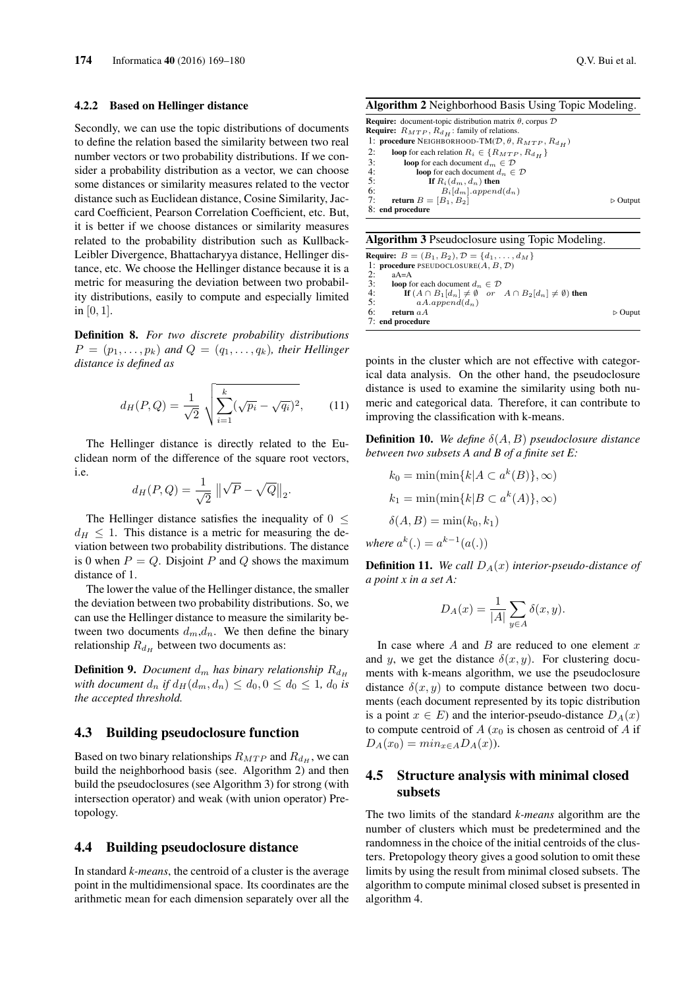#### 4.2.2 Based on Hellinger distance

Secondly, we can use the topic distributions of documents to define the relation based the similarity between two real number vectors or two probability distributions. If we consider a probability distribution as a vector, we can choose some distances or similarity measures related to the vector distance such as Euclidean distance, Cosine Similarity, Jaccard Coefficient, Pearson Correlation Coefficient, etc. But, it is better if we choose distances or similarity measures related to the probability distribution such as Kullback-Leibler Divergence, Bhattacharyya distance, Hellinger distance, etc. We choose the Hellinger distance because it is a metric for measuring the deviation between two probability distributions, easily to compute and especially limited in  $[0, 1]$ .

Definition 8. *For two discrete probability distributions*  $P = (p_1, \ldots, p_k)$  and  $Q = (q_1, \ldots, q_k)$ , their Hellinger *distance is defined as*

$$
d_H(P,Q) = \frac{1}{\sqrt{2}} \sqrt{\sum_{i=1}^k (\sqrt{p_i} - \sqrt{q_i})^2},
$$
 (11)

.

 $whe$ 

The Hellinger distance is directly related to the Euclidean norm of the difference of the square root vectors, i.e.

$$
d_H(P,Q) = \frac{1}{\sqrt{2}} \left\| \sqrt{P} - \sqrt{Q} \right\|_2
$$

The Hellinger distance satisfies the inequality of  $0 \leq$  $d_H \leq 1$ . This distance is a metric for measuring the deviation between two probability distributions. The distance is 0 when  $P = Q$ . Disjoint P and Q shows the maximum distance of 1.

The lower the value of the Hellinger distance, the smaller the deviation between two probability distributions. So, we can use the Hellinger distance to measure the similarity between two documents  $d_m, d_n$ . We then define the binary relationship  $R_{d_H}$  between two documents as:

**Definition 9.** *Document*  $d_m$  *has binary relationship*  $R_{d_H}$ *with document*  $d_n$  *if*  $d_H(d_m, d_n) \leq d_0$ ,  $0 \leq d_0 \leq 1$ ,  $d_0$  *is the accepted threshold.*

#### 4.3 Building pseudoclosure function

Based on two binary relationships  $R_{MTP}$  and  $R_{d_H}$ , we can build the neighborhood basis (see. Algorithm 2) and then build the pseudoclosures (see Algorithm 3) for strong (with intersection operator) and weak (with union operator) Pretopology.

#### 4.4 Building pseudoclosure distance

In standard *k-means*, the centroid of a cluster is the average point in the multidimensional space. Its coordinates are the arithmetic mean for each dimension separately over all the

Algorithm 2 Neighborhood Basis Using Topic Modeling.

**Require:** document-topic distribution matrix  $\theta$ , corpus  $\mathcal{D}$ **Require:**  $R_{MTP}$ ,  $R_{d_H}$ : family of relations. 1: **procedure** NEIGHBORHOOD-TM( $D$ ,  $\theta$ ,  $R_{MTP}$ ,  $R_{dH}$ )<br>2: **loop** for each relation  $R_i \in \{R_{MTP}, R_{dH}\}$ 2: loop for each relation  $R_i \in \{R_{MTP}, R_{d_H}\}\$ <br>3: loop for each document  $d_m \in \mathcal{D}$ 3: **loop** for each document  $d_m \in \mathcal{D}$ <br>4: **loop** for each document  $d_m \in \mathcal{D}$ 4: **loop** for each document  $d_n \in \mathcal{D}$ <br>5: **If**  $R_i(d_m, d_n)$  **then** 5: **If**  $R_i(d_m, d_n)$  **then**<br>6:  $B_i[d_m].append(d_n)$ 7: return  $B = [B_1, B_2]$   $\triangleright$  Output 8: end procedure

### Algorithm 3 Pseudoclosure using Topic Modeling.

Require:  $B = (B_1, B_2), \mathcal{D} = \{d_1, \ldots, d_M\}$ <br>1: procedure PSEUDOCLOSURE $(A, B, \mathcal{D})$ <br>2:  $aA = A$ procedure PSEUDOCLOSURE $(A, B, D)$ 2:  $aA=A$ <br>3:  $loop f$ 3: **loop** for each document  $d_n \in \mathcal{D}$ <br>4: **If**  $(A \cap B_1[d_n] \neq \emptyset$  or 4: **If**  $(A \cap B_1[d_n] \neq \emptyset$  or  $A \cap B_2[d_n] \neq \emptyset$  then 5:  $aA.append(d_n)$ <br>6: **return**  $aA$ return  $aA$  . Ouput 7: end procedure

points in the cluster which are not effective with categorical data analysis. On the other hand, the pseudoclosure distance is used to examine the similarity using both numeric and categorical data. Therefore, it can contribute to improving the classification with k-means.

Definition 10. *We define* δ(A, B) *pseudoclosure distance between two subsets A and B of a finite set E:*

$$
k_0 = \min(\min\{k | A \subset a^k(B)\}, \infty)
$$
  
\n
$$
k_1 = \min(\min\{k | B \subset a^k(A)\}, \infty)
$$
  
\n
$$
\delta(A, B) = \min(k_0, k_1)
$$
  
\n
$$
re a^k(.) = a^{k-1}(a(.))
$$

**Definition 11.** We call  $D_A(x)$  interior-pseudo-distance of *a point x in a set A:*

$$
D_A(x) = \frac{1}{|A|} \sum_{y \in A} \delta(x, y).
$$

In case where  $A$  and  $B$  are reduced to one element  $x$ and y, we get the distance  $\delta(x, y)$ . For clustering documents with k-means algorithm, we use the pseudoclosure distance  $\delta(x, y)$  to compute distance between two documents (each document represented by its topic distribution is a point  $x \in E$ ) and the interior-pseudo-distance  $D_A(x)$ to compute centroid of  $A(x_0)$  is chosen as centroid of A if  $D_A(x_0) = min_{x \in A} D_A(x)$ .

## 4.5 Structure analysis with minimal closed subsets

The two limits of the standard *k-means* algorithm are the number of clusters which must be predetermined and the randomness in the choice of the initial centroids of the clusters. Pretopology theory gives a good solution to omit these limits by using the result from minimal closed subsets. The algorithm to compute minimal closed subset is presented in algorithm 4.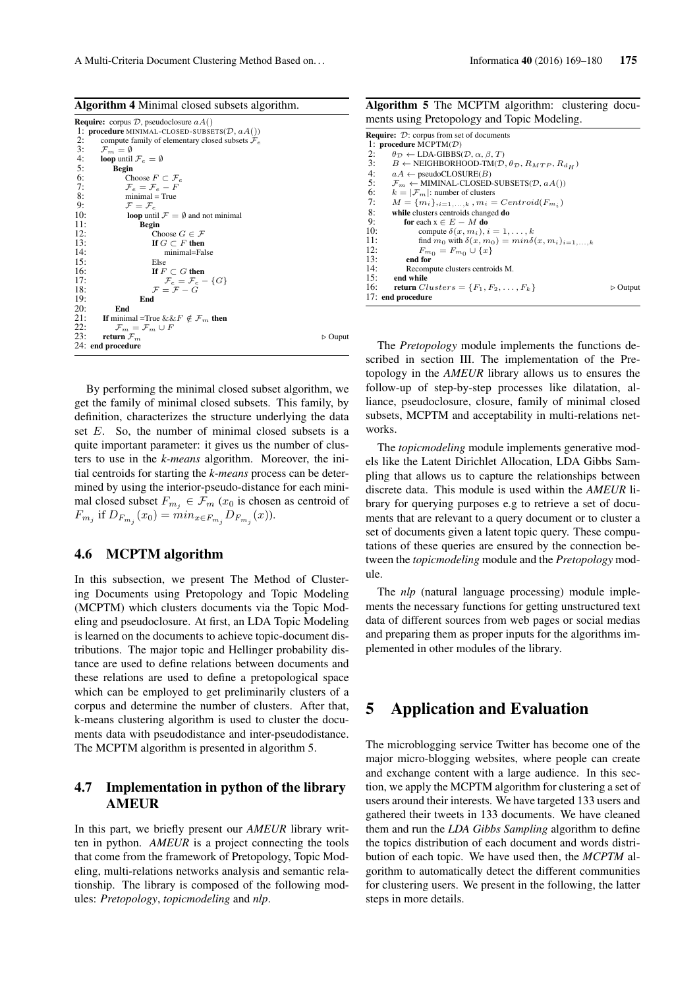| Algorithm 4 Minimal closed subsets algorithm. |  |  |  |
|-----------------------------------------------|--|--|--|
|-----------------------------------------------|--|--|--|

|     | <b>Require:</b> corpus $D$ , pseudoclosure $aA()$           |                        |
|-----|-------------------------------------------------------------|------------------------|
|     | 1: <b>procedure</b> MINIMAL-CLOSED-SUBSETS $(D, aA))$       |                        |
| 2:  | compute family of elementary closed subsets $\mathcal{F}_e$ |                        |
| 3:  | $\mathcal{F}_m = \emptyset$                                 |                        |
| 4:  | <b>loop</b> until $\mathcal{F}_e = \emptyset$               |                        |
| 5:  | <b>Begin</b>                                                |                        |
| 6:  | Choose $F \subset \mathcal{F}_e$                            |                        |
| 7:  | $\mathcal{F}_{e} = \mathcal{F}_{e} - F$                     |                        |
| 8:  | $minimal = True$                                            |                        |
| 9:  | $\mathcal{F} = \mathcal{F}_e$                               |                        |
| 10: | <b>loop</b> until $\mathcal{F} = \emptyset$ and not minimal |                        |
| 11: | <b>Begin</b>                                                |                        |
| 12: | Choose $G \in \mathcal{F}$                                  |                        |
| 13: | If $G \subset F$ then                                       |                        |
| 14: | minimal=False                                               |                        |
| 15: | Else                                                        |                        |
| 16: | If $F \subset G$ then                                       |                        |
| 17: | $\mathcal{F}_e = \mathcal{F}_e - \{G\}$                     |                        |
| 18: | $\mathcal{F} = \mathcal{F} - G$                             |                        |
| 19: | End                                                         |                        |
| 20: | End                                                         |                        |
| 21: | If minimal =True & & F $\notin \mathcal{F}_m$ then          |                        |
| 22: | $\mathcal{F}_m = \mathcal{F}_m \cup F$                      |                        |
| 23: | return $\mathcal{F}_m$                                      | $\triangleright$ Ouput |
|     | 24: end procedure                                           |                        |
|     |                                                             |                        |

By performing the minimal closed subset algorithm, we get the family of minimal closed subsets. This family, by definition, characterizes the structure underlying the data set  $E$ . So, the number of minimal closed subsets is a quite important parameter: it gives us the number of clusters to use in the *k-means* algorithm. Moreover, the initial centroids for starting the *k-means* process can be determined by using the interior-pseudo-distance for each minimal closed subset  $F_{m_j} \in \mathcal{F}_m$  ( $x_0$  is chosen as centroid of  $F_{m_j}$  if  $D_{F_{m_j}}(x_0) = min_{x \in F_{m_j}} D_{F_{m_j}}(x)$ ).

### 4.6 MCPTM algorithm

In this subsection, we present The Method of Clustering Documents using Pretopology and Topic Modeling (MCPTM) which clusters documents via the Topic Modeling and pseudoclosure. At first, an LDA Topic Modeling is learned on the documents to achieve topic-document distributions. The major topic and Hellinger probability distance are used to define relations between documents and these relations are used to define a pretopological space which can be employed to get preliminarily clusters of a corpus and determine the number of clusters. After that, k-means clustering algorithm is used to cluster the documents data with pseudodistance and inter-pseudodistance. The MCPTM algorithm is presented in algorithm 5.

## 4.7 Implementation in python of the library AMEUR

In this part, we briefly present our *AMEUR* library written in python. *AMEUR* is a project connecting the tools that come from the framework of Pretopology, Topic Modeling, multi-relations networks analysis and semantic relationship. The library is composed of the following modules: *Pretopology*, *topicmodeling* and *nlp*.

| <b>Algorithm 5</b> The MCPTM algorithm: clustering docu- |  |  |  |  |
|----------------------------------------------------------|--|--|--|--|
| ments using Pretopology and Topic Modeling.              |  |  |  |  |

|     | <b>Require:</b> D: corpus from set of documents                                         |                         |
|-----|-----------------------------------------------------------------------------------------|-------------------------|
|     | 1: procedure $MCPTM(\mathcal{D})$                                                       |                         |
| 2:  | $\theta_{\mathcal{D}} \leftarrow \text{LDA-GIBBS}(\mathcal{D}, \alpha, \beta, T)$       |                         |
| 3:  | $B \leftarrow$ NEIGHBORHOOD-TM( $\mathcal{D}, \theta_{\mathcal{D}}, R_{MTP}, R_{d_H}$ ) |                         |
| 4:  | $aA \leftarrow$ pseudoCLOSURE(B)                                                        |                         |
| 5:  | $\mathcal{F}_m \leftarrow$ MIMINAL-CLOSED-SUBSETS( $\mathcal{D}, aA()$ )                |                         |
| 6:  | $k =  \mathcal{F}_m $ : number of clusters                                              |                         |
| 7:  | $M = \{m_i\}_{i=1,,k}$ , $m_i = Centroid(F_{m_i})$                                      |                         |
| 8:  | while clusters centroids changed do                                                     |                         |
| 9:  | for each $x \in E - M$ do                                                               |                         |
| 10: | compute $\delta(x, m_i), i = 1, \ldots, k$                                              |                         |
| 11: | find $m_0$ with $\delta(x, m_0) = min \delta(x, m_i)_{i=1,,k}$                          |                         |
| 12: | $F_{m_0} = F_{m_0} \cup \{x\}$                                                          |                         |
| 13: | end for                                                                                 |                         |
| 14: | Recompute clusters centroids M.                                                         |                         |
| 15: | end while                                                                               |                         |
| 16: | return $Clusters = \{F_1, F_2, \ldots, F_k\}$                                           | $\triangleright$ Output |
|     | 17: end procedure                                                                       |                         |
|     |                                                                                         |                         |

The *Pretopology* module implements the functions described in section III. The implementation of the Pretopology in the *AMEUR* library allows us to ensures the follow-up of step-by-step processes like dilatation, alliance, pseudoclosure, closure, family of minimal closed subsets, MCPTM and acceptability in multi-relations networks.

The *topicmodeling* module implements generative models like the Latent Dirichlet Allocation, LDA Gibbs Sampling that allows us to capture the relationships between discrete data. This module is used within the *AMEUR* library for querying purposes e.g to retrieve a set of documents that are relevant to a query document or to cluster a set of documents given a latent topic query. These computations of these queries are ensured by the connection between the *topicmodeling* module and the *Pretopology* module.

The *nlp* (natural language processing) module implements the necessary functions for getting unstructured text data of different sources from web pages or social medias and preparing them as proper inputs for the algorithms implemented in other modules of the library.

## 5 Application and Evaluation

The microblogging service Twitter has become one of the major micro-blogging websites, where people can create and exchange content with a large audience. In this section, we apply the MCPTM algorithm for clustering a set of users around their interests. We have targeted 133 users and gathered their tweets in 133 documents. We have cleaned them and run the *LDA Gibbs Sampling* algorithm to define the topics distribution of each document and words distribution of each topic. We have used then, the *MCPTM* algorithm to automatically detect the different communities for clustering users. We present in the following, the latter steps in more details.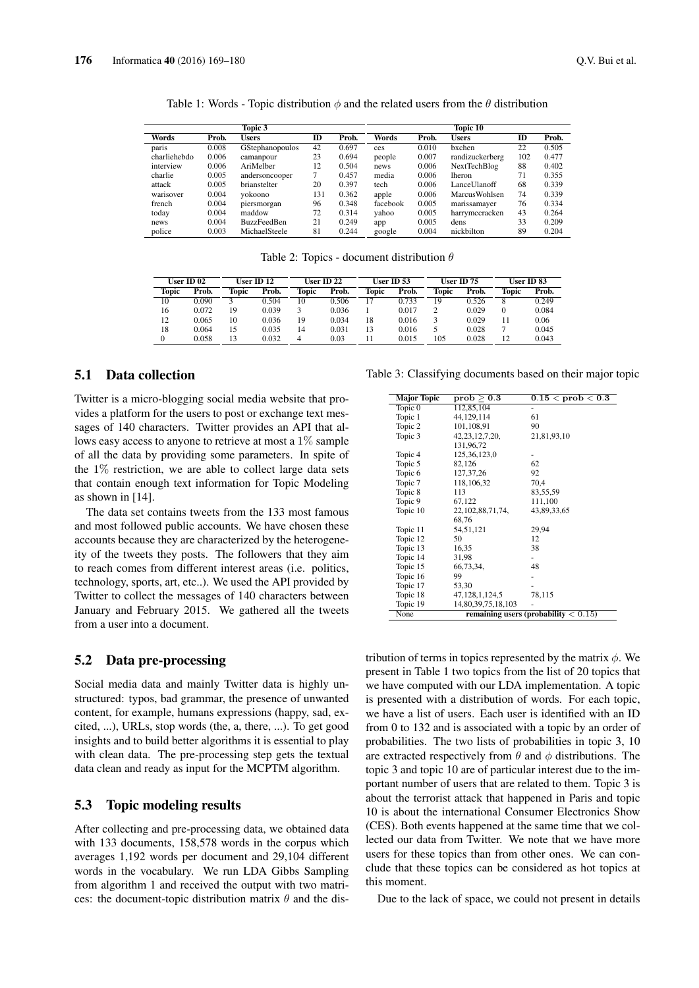|              |       | Topic 3                |     |       |          |       | Topic 10             |     |       |
|--------------|-------|------------------------|-----|-------|----------|-------|----------------------|-----|-------|
| Words        | Prob. | <b>Users</b>           | ID  | Prob. | Words    | Prob. | <b>Users</b>         | ID  | Prob. |
| paris        | 0.008 | <b>GStephanopoulos</b> | 42  | 0.697 | ces      | 0.010 | bxchen               | 22  | 0.505 |
| charliehebdo | 0.006 | camanpour              | 23  | 0.694 | people   | 0.007 | randizuckerberg      | 102 | 0.477 |
| interview    | 0.006 | AriMelber              | 12  | 0.504 | news     | 0.006 | NextTechBlog         | 88  | 0.402 |
| charlie      | 0.005 | andersoncooper         | 7   | 0.457 | media    | 0.006 | <b>lheron</b>        | 71  | 0.355 |
| attack       | 0.005 | brianstelter           | 20  | 0.397 | tech     | 0.006 | LanceUlanoff         | 68  | 0.339 |
| warisover    | 0.004 | vokoono                | 131 | 0.362 | apple    | 0.006 | <b>MarcusWohlsen</b> | 74  | 0.339 |
| french       | 0.004 | piersmorgan            | 96  | 0.348 | facebook | 0.005 | marissamaver         | 76  | 0.334 |
| today        | 0.004 | maddow                 | 72  | 0.314 | yahoo    | 0.005 | harrymccracken       | 43  | 0.264 |
| news         | 0.004 | <b>BuzzFeedBen</b>     | 21  | 0.249 | app      | 0.005 | dens                 | 33  | 0.209 |
| police       | 0.003 | MichaelSteele          | 81  | 0.244 | google   | 0.004 | nickbilton           | 89  | 0.204 |

Table 1: Words - Topic distribution  $\phi$  and the related users from the  $\theta$  distribution

Table 2: Topics - document distribution  $\theta$ 

|              | User ID 02 |       | User ID 12 |       | User ID 22 |       | User ID 53 |       | User ID 75 |          | User ID 83 |
|--------------|------------|-------|------------|-------|------------|-------|------------|-------|------------|----------|------------|
| <b>Topic</b> | Prob.      | Topic | Prob.      | Topic | Prob.      | Topic | Prob.      | Topic | Prob.      | Topic    | Prob.      |
| 10           | 0.090      |       | 0.504      | 10    | 0.506      | 17    | 0.733      | 19    | 0.526      | 8        | 0.249      |
| 16           | 0.072      | 19    | 0.039      |       | 0.036      |       | 0.017      |       | 0.029      | $\Omega$ | 0.084      |
| 12           | 0.065      | 10    | 0.036      | 19    | 0.034      | 18    | 0.016      |       | 0.029      |          | 0.06       |
| 18           | 0.064      | 15    | 0.035      | 14    | 0.031      | 13    | 0.016      |       | 0.028      |          | 0.045      |
|              | 0.058      | 13    | 0.032      | Δ     | 0.03       |       | 0.015      | 105   | 0.028      | 12       | 0.043      |

### 5.1 Data collection

Twitter is a micro-blogging social media website that provides a platform for the users to post or exchange text messages of 140 characters. Twitter provides an API that allows easy access to anyone to retrieve at most a 1% sample of all the data by providing some parameters. In spite of the  $1\%$  restriction, we are able to collect large data sets that contain enough text information for Topic Modeling as shown in [14].

The data set contains tweets from the 133 most famous and most followed public accounts. We have chosen these accounts because they are characterized by the heterogeneity of the tweets they posts. The followers that they aim to reach comes from different interest areas (i.e. politics, technology, sports, art, etc..). We used the API provided by Twitter to collect the messages of 140 characters between January and February 2015. We gathered all the tweets from a user into a document.

## 5.2 Data pre-processing

Social media data and mainly Twitter data is highly unstructured: typos, bad grammar, the presence of unwanted content, for example, humans expressions (happy, sad, excited, ...), URLs, stop words (the, a, there, ...). To get good insights and to build better algorithms it is essential to play with clean data. The pre-processing step gets the textual data clean and ready as input for the MCPTM algorithm.

## 5.3 Topic modeling results

After collecting and pre-processing data, we obtained data with 133 documents, 158,578 words in the corpus which averages 1,192 words per document and 29,104 different words in the vocabulary. We run LDA Gibbs Sampling from algorithm 1 and received the output with two matrices: the document-topic distribution matrix  $\theta$  and the dis-

Table 3: Classifying documents based on their major topic

| <b>Major Topic</b> | prob > 0.3           | $0.15 <$ prob $< 0.3$                   |
|--------------------|----------------------|-----------------------------------------|
| Topic 0            | 112,85,104           |                                         |
| Topic 1            | 44,129,114           | 61                                      |
| Topic 2            | 101,108,91           | 90                                      |
| Topic 3            | 42, 23, 12, 7, 20,   | 21,81,93,10                             |
|                    | 131,96,72            |                                         |
| Topic 4            | 125, 36, 123, 0      |                                         |
| Topic 5            | 82,126               | 62                                      |
| Topic 6            | 127, 37, 26          | 92                                      |
| Topic 7            | 118,106,32           | 70.4                                    |
| Topic 8            | 113                  | 83,55,59                                |
| Topic 9            | 67,122               | 111,100                                 |
| Topic 10           | 22, 102, 88, 71, 74, | 43,89,33,65                             |
|                    | 68,76                |                                         |
| Topic 11           | 54, 51, 121          | 29,94                                   |
| Topic 12           | 50                   | 12                                      |
| Topic 13           | 16,35                | 38                                      |
| Topic 14           | 31,98                |                                         |
| Topic 15           | 66,73,34,            | 48                                      |
| Topic 16           | 99                   |                                         |
| Topic 17           | 53,30                |                                         |
| Topic 18           | 47, 128, 1, 124, 5   | 78,115                                  |
| Topic 19           | 14,80,39,75,18,103   |                                         |
| None               |                      | remaining users (probability $< 0.15$ ) |

tribution of terms in topics represented by the matrix  $\phi$ . We present in Table 1 two topics from the list of 20 topics that we have computed with our LDA implementation. A topic is presented with a distribution of words. For each topic, we have a list of users. Each user is identified with an ID from 0 to 132 and is associated with a topic by an order of probabilities. The two lists of probabilities in topic 3, 10 are extracted respectively from  $\theta$  and  $\phi$  distributions. The topic 3 and topic 10 are of particular interest due to the important number of users that are related to them. Topic 3 is about the terrorist attack that happened in Paris and topic 10 is about the international Consumer Electronics Show (CES). Both events happened at the same time that we collected our data from Twitter. We note that we have more users for these topics than from other ones. We can conclude that these topics can be considered as hot topics at this moment.

Due to the lack of space, we could not present in details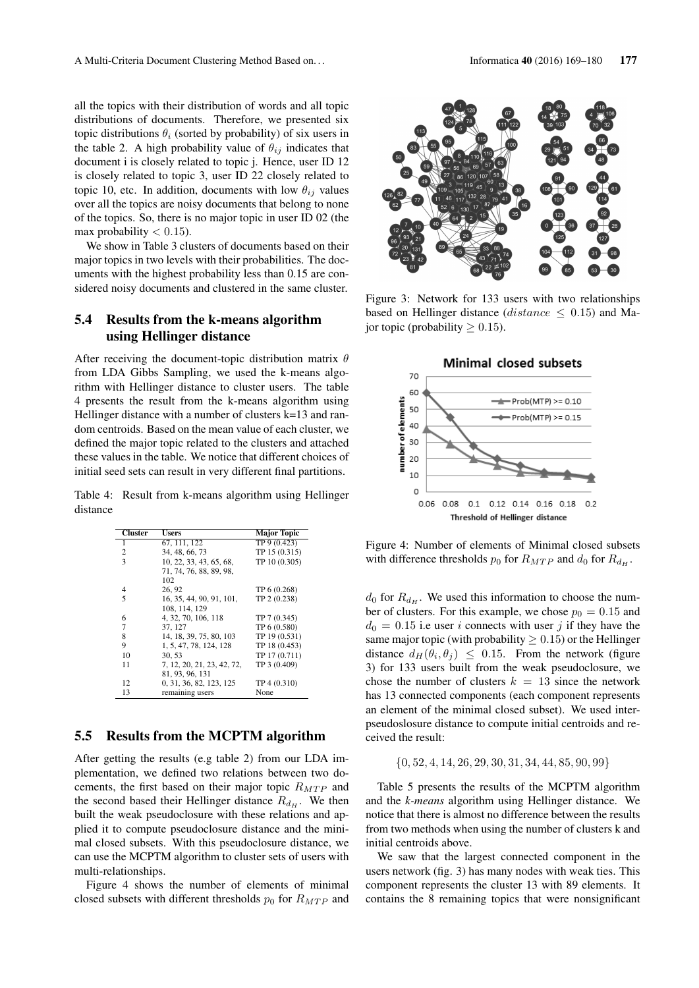all the topics with their distribution of words and all topic distributions of documents. Therefore, we presented six topic distributions  $\theta_i$  (sorted by probability) of six users in the table 2. A high probability value of  $\theta_{ij}$  indicates that document i is closely related to topic j. Hence, user ID 12 is closely related to topic 3, user ID 22 closely related to topic 10, etc. In addition, documents with low  $\theta_{ij}$  values over all the topics are noisy documents that belong to none of the topics. So, there is no major topic in user ID 02 (the max probability  $< 0.15$ ).

We show in Table 3 clusters of documents based on their major topics in two levels with their probabilities. The documents with the highest probability less than 0.15 are considered noisy documents and clustered in the same cluster.

## 5.4 Results from the k-means algorithm using Hellinger distance

After receiving the document-topic distribution matrix  $\theta$ from LDA Gibbs Sampling, we used the k-means algorithm with Hellinger distance to cluster users. The table 4 presents the result from the k-means algorithm using Hellinger distance with a number of clusters k=13 and random centroids. Based on the mean value of each cluster, we defined the major topic related to the clusters and attached these values in the table. We notice that different choices of initial seed sets can result in very different final partitions.

Table 4: Result from k-means algorithm using Hellinger distance

| <b>Cluster</b> | <b>Users</b>               | <b>Major Topic</b> |
|----------------|----------------------------|--------------------|
| 1              | 67, 111, 122               | TP 9 (0.423)       |
| 2              | 34, 48, 66, 73             | TP 15 (0.315)      |
| 3              | 10, 22, 33, 43, 65, 68,    | TP 10 (0.305)      |
|                | 71, 74, 76, 88, 89, 98,    |                    |
|                | 102                        |                    |
| 4              | 26.92                      | TP 6 (0.268)       |
| 5              | 16, 35, 44, 90, 91, 101,   | TP 2 (0.238)       |
|                | 108, 114, 129              |                    |
| 6              | 4, 32, 70, 106, 118        | TP 7 (0.345)       |
| 7              | 37, 127                    | TP 6 (0.580)       |
| 8              | 14, 18, 39, 75, 80, 103    | TP 19 (0.531)      |
| 9              | 1, 5, 47, 78, 124, 128     | TP 18 (0.453)      |
| 10             | 30.53                      | TP 17 (0.711)      |
| 11             | 7, 12, 20, 21, 23, 42, 72, | TP 3 (0.409)       |
|                | 81, 93, 96, 131            |                    |
| 12             | 0, 31, 36, 82, 123, 125    | TP 4 (0.310)       |
| 13             | remaining users            | None               |

#### 5.5 Results from the MCPTM algorithm

After getting the results (e.g table 2) from our LDA implementation, we defined two relations between two docements, the first based on their major topic  $R_{MTP}$  and the second based their Hellinger distance  $R_{d_H}$ . We then built the weak pseudoclosure with these relations and applied it to compute pseudoclosure distance and the minimal closed subsets. With this pseudoclosure distance, we can use the MCPTM algorithm to cluster sets of users with multi-relationships.

Figure 4 shows the number of elements of minimal closed subsets with different thresholds  $p_0$  for  $R_{MTP}$  and



Figure 3: Network for 133 users with two relationships based on Hellinger distance (*distance*  $\leq$  0.15) and Major topic (probability  $\geq 0.15$ ).



Figure 4: Number of elements of Minimal closed subsets with difference thresholds  $p_0$  for  $R_{MTP}$  and  $d_0$  for  $R_{dH}$ .

 $d_0$  for  $R_{dH}$ . We used this information to choose the number of clusters. For this example, we chose  $p_0 = 0.15$  and  $d_0 = 0.15$  i.e user i connects with user j if they have the same major topic (with probability  $\geq 0.15$ ) or the Hellinger distance  $d_H(\theta_i, \theta_j) \leq 0.15$ . From the network (figure 3) for 133 users built from the weak pseudoclosure, we chose the number of clusters  $k = 13$  since the network has 13 connected components (each component represents an element of the minimal closed subset). We used interpseudoslosure distance to compute initial centroids and received the result:

$$
\{0, 52, 4, 14, 26, 29, 30, 31, 34, 44, 85, 90, 99\}
$$

Table 5 presents the results of the MCPTM algorithm and the *k-means* algorithm using Hellinger distance. We notice that there is almost no difference between the results from two methods when using the number of clusters k and initial centroids above.

We saw that the largest connected component in the users network (fig. 3) has many nodes with weak ties. This component represents the cluster 13 with 89 elements. It contains the 8 remaining topics that were nonsignificant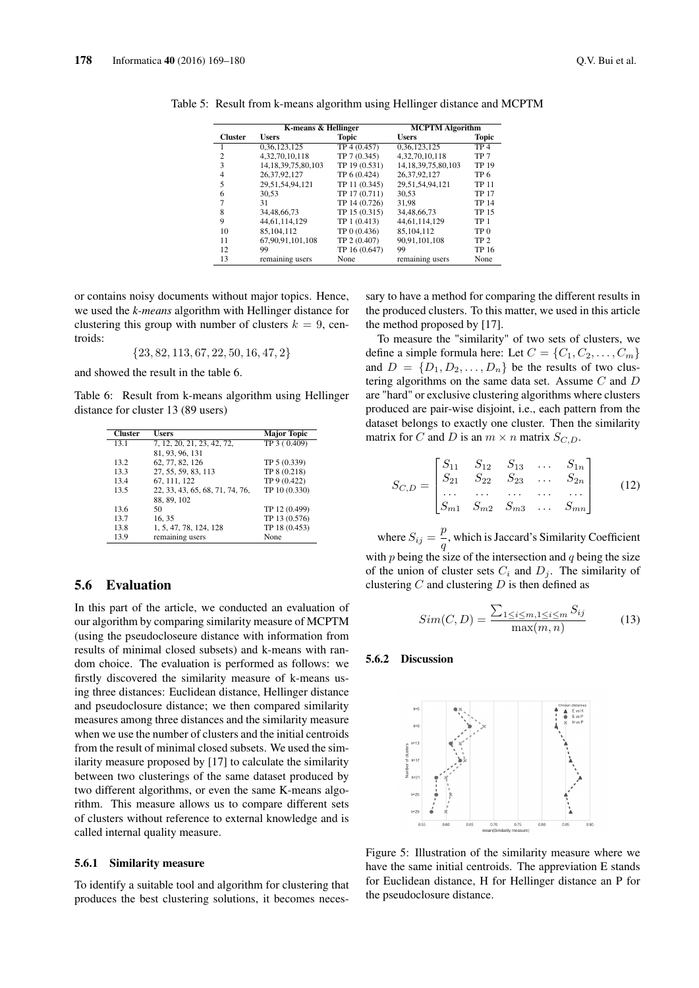|  | Q.V. Bui et al. |  |
|--|-----------------|--|
|  |                 |  |

|                | K-means & Hellinger     |               | <b>MCPTM Algorithm</b>  |                 |  |
|----------------|-------------------------|---------------|-------------------------|-----------------|--|
| <b>Cluster</b> | <b>Users</b>            | <b>Topic</b>  | <b>Users</b>            | <b>Topic</b>    |  |
|                | 0,36,123,125            | TP 4 (0.457)  | 0,36,123,125            | TP <sub>4</sub> |  |
| $\overline{c}$ | 4.32.70.10.118          | TP 7 (0.345)  | 4.32.70.10.118          | TP <sub>7</sub> |  |
| 3              | 14, 18, 39, 75, 80, 103 | TP 19 (0.531) | 14, 18, 39, 75, 80, 103 | <b>TP 19</b>    |  |
| $\overline{4}$ | 26, 37, 92, 127         | TP 6 (0.424)  | 26.37.92.127            | TP 6            |  |
| 5              | 29, 51, 54, 94, 121     | TP 11 (0.345) | 29.51.54.94.121         | <b>TP 11</b>    |  |
| 6              | 30.53                   | TP 17 (0.711) | 30.53                   | <b>TP 17</b>    |  |
|                | 31                      | TP 14 (0.726) | 31.98                   | <b>TP 14</b>    |  |
| 8              | 34,48,66,73             | TP 15 (0.315) | 34,48,66,73             | TP 15           |  |
| 9              | 44.61.114.129           | TP 1 (0.413)  | 44.61.114.129           | TP <sub>1</sub> |  |
| 10             | 85,104,112              | TP 0 (0.436)  | 85,104,112              | TP <sub>0</sub> |  |
| 11             | 67.90.91.101.108        | TP 2 (0.407)  | 90.91.101.108           | TP <sub>2</sub> |  |
| 12             | 99                      | TP 16 (0.647) | 99                      | <b>TP 16</b>    |  |
| 13             | remaining users         | None          | remaining users         | None            |  |

Table 5: Result from k-means algorithm using Hellinger distance and MCPTM

or contains noisy documents without major topics. Hence, we used the *k-means* algorithm with Hellinger distance for clustering this group with number of clusters  $k = 9$ , centroids:

 ${23, 82, 113, 67, 22, 50, 16, 47, 2}$ 

and showed the result in the table 6.

Table 6: Result from k-means algorithm using Hellinger distance for cluster 13 (89 users)

| <b>Cluster</b> | Users                           | <b>Major Topic</b> |
|----------------|---------------------------------|--------------------|
| 13.1           | 7, 12, 20, 21, 23, 42, 72,      | TP 3 (0.409)       |
|                | 81, 93, 96, 131                 |                    |
| 13.2           | 62, 77, 82, 126                 | TP 5 (0.339)       |
| 13.3           | 27, 55, 59, 83, 113             | TP 8 (0.218)       |
| 13.4           | 67, 111, 122                    | TP 9 (0.422)       |
| 13.5           | 22, 33, 43, 65, 68, 71, 74, 76, | TP 10 (0.330)      |
|                | 88, 89, 102                     |                    |
| 13.6           | 50                              | TP 12 (0.499)      |
| 13.7           | 16, 35                          | TP 13 (0.576)      |
| 13.8           | 1, 5, 47, 78, 124, 128          | TP 18 (0.453)      |
| 13.9           | remaining users                 | None               |

## 5.6 Evaluation

In this part of the article, we conducted an evaluation of our algorithm by comparing similarity measure of MCPTM (using the pseudocloseure distance with information from results of minimal closed subsets) and k-means with random choice. The evaluation is performed as follows: we firstly discovered the similarity measure of k-means using three distances: Euclidean distance, Hellinger distance and pseudoclosure distance; we then compared similarity measures among three distances and the similarity measure when we use the number of clusters and the initial centroids from the result of minimal closed subsets. We used the similarity measure proposed by [17] to calculate the similarity between two clusterings of the same dataset produced by two different algorithms, or even the same K-means algorithm. This measure allows us to compare different sets of clusters without reference to external knowledge and is called internal quality measure.

#### 5.6.1 Similarity measure

To identify a suitable tool and algorithm for clustering that produces the best clustering solutions, it becomes necessary to have a method for comparing the different results in the produced clusters. To this matter, we used in this article the method proposed by [17].

To measure the "similarity" of two sets of clusters, we define a simple formula here: Let  $C = \{C_1, C_2, \ldots, C_m\}$ and  $D = \{D_1, D_2, \ldots, D_n\}$  be the results of two clustering algorithms on the same data set. Assume C and D are "hard" or exclusive clustering algorithms where clusters produced are pair-wise disjoint, i.e., each pattern from the dataset belongs to exactly one cluster. Then the similarity matrix for C and D is an  $m \times n$  matrix  $S_{C,D}$ .

$$
S_{C,D} = \begin{bmatrix} S_{11} & S_{12} & S_{13} & \dots & S_{1n} \\ S_{21} & S_{22} & S_{23} & \dots & S_{2n} \\ \dots & \dots & \dots & \dots & \dots \\ S_{m1} & S_{m2} & S_{m3} & \dots & S_{mn} \end{bmatrix} \tag{12}
$$

where  $S_{ij} = \frac{p}{n}$  $\frac{\mu}{q}$ , which is Jaccard's Similarity Coefficient with  $p$  being the size of the intersection and  $q$  being the size of the union of cluster sets  $C_i$  and  $D_j$ . The similarity of clustering  $C$  and clustering  $D$  is then defined as

$$
Sim(C, D) = \frac{\sum_{1 \le i \le m, 1 \le i \le m} S_{ij}}{\max(m, n)}
$$
(13)

## 5.6.2 Discussion



Figure 5: Illustration of the similarity measure where we have the same initial centroids. The appreviation E stands for Euclidean distance, H for Hellinger distance an P for the pseudoclosure distance.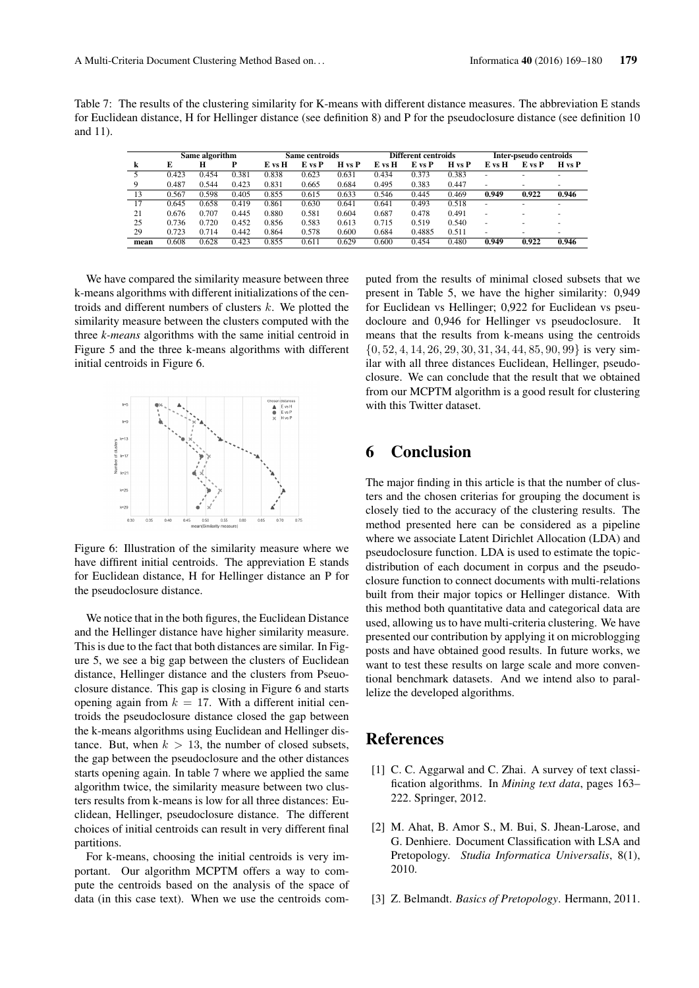Table 7: The results of the clustering similarity for K-means with different distance measures. The abbreviation E stands for Euclidean distance, H for Hellinger distance (see definition 8) and P for the pseudoclosure distance (see definition 10 and 11).

|      | Same algorithm |       |       | Same centroids |        |        | Different centroids |        |                   | Inter-pseudo centroids |                          |                          |
|------|----------------|-------|-------|----------------|--------|--------|---------------------|--------|-------------------|------------------------|--------------------------|--------------------------|
| k    | E              | н     | P     | E vs H         | E vs P | H vs P | E vs H              | E vs P | $H \text{ vs } P$ | E vs H                 | E vs P                   | H vs P                   |
|      | 0.423          | 0.454 | 0.381 | 0.838          | 0.623  | 0.631  | 0.434               | 0.373  | 0.383             | ۰                      | ۰                        | $\overline{\phantom{a}}$ |
| 9    | 0.487          | 0.544 | 0.423 | 0.831          | 0.665  | 0.684  | 0.495               | 0.383  | 0.447             | ۰                      | ۰                        | ٠                        |
| 13   | 0.567          | 0.598 | 0.405 | 0.855          | 0.615  | 0.633  | 0.546               | 0.445  | 0.469             | 0.949                  | 0.922                    | 0.946                    |
| 17   | 0.645          | 0.658 | 0.419 | 0.861          | 0.630  | 0.641  | 0.641               | 0.493  | 0.518             | ۰                      | ۰                        | $\overline{\phantom{a}}$ |
| 21   | 0.676          | 0.707 | 0.445 | 0.880          | 0.581  | 0.604  | 0.687               | 0.478  | 0.491             | ۰                      | ۰                        | ۰                        |
| 25   | 0.736          | 0.720 | 0.452 | 0.856          | 0.583  | 0.613  | 0.715               | 0.519  | 0.540             | ۰                      | ۰                        |                          |
| 29   | 0.723          | 0.714 | 0.442 | 0.864          | 0.578  | 0.600  | 0.684               | 0.4885 | 0.511             | ۰                      | $\overline{\phantom{a}}$ | $\overline{\phantom{a}}$ |
| mean | 0.608          | 0.628 | 0.423 | 0.855          | 0.611  | 0.629  | 0.600               | 0.454  | 0.480             | 0.949                  | 0.922                    | 0.946                    |

We have compared the similarity measure between three k-means algorithms with different initializations of the centroids and different numbers of clusters  $k$ . We plotted the similarity measure between the clusters computed with the three *k-means* algorithms with the same initial centroid in Figure 5 and the three k-means algorithms with different initial centroids in Figure 6.



Figure 6: Illustration of the similarity measure where we have diffirent initial centroids. The appreviation E stands for Euclidean distance, H for Hellinger distance an P for the pseudoclosure distance.

We notice that in the both figures, the Euclidean Distance and the Hellinger distance have higher similarity measure. This is due to the fact that both distances are similar. In Figure 5, we see a big gap between the clusters of Euclidean distance, Hellinger distance and the clusters from Pseuoclosure distance. This gap is closing in Figure 6 and starts opening again from  $k = 17$ . With a different initial centroids the pseudoclosure distance closed the gap between the k-means algorithms using Euclidean and Hellinger distance. But, when  $k > 13$ , the number of closed subsets, the gap between the pseudoclosure and the other distances starts opening again. In table 7 where we applied the same algorithm twice, the similarity measure between two clusters results from k-means is low for all three distances: Euclidean, Hellinger, pseudoclosure distance. The different choices of initial centroids can result in very different final partitions.

For k-means, choosing the initial centroids is very important. Our algorithm MCPTM offers a way to compute the centroids based on the analysis of the space of data (in this case text). When we use the centroids computed from the results of minimal closed subsets that we present in Table 5, we have the higher similarity: 0,949 for Euclidean vs Hellinger; 0,922 for Euclidean vs pseudocloure and 0,946 for Hellinger vs pseudoclosure. It means that the results from k-means using the centroids  $\{0, 52, 4, 14, 26, 29, 30, 31, 34, 44, 85, 90, 99\}$  is very similar with all three distances Euclidean, Hellinger, pseudoclosure. We can conclude that the result that we obtained from our MCPTM algorithm is a good result for clustering with this Twitter dataset.

# 6 Conclusion

The major finding in this article is that the number of clusters and the chosen criterias for grouping the document is closely tied to the accuracy of the clustering results. The method presented here can be considered as a pipeline where we associate Latent Dirichlet Allocation (LDA) and pseudoclosure function. LDA is used to estimate the topicdistribution of each document in corpus and the pseudoclosure function to connect documents with multi-relations built from their major topics or Hellinger distance. With this method both quantitative data and categorical data are used, allowing us to have multi-criteria clustering. We have presented our contribution by applying it on microblogging posts and have obtained good results. In future works, we want to test these results on large scale and more conventional benchmark datasets. And we intend also to parallelize the developed algorithms.

# References

- [1] C. C. Aggarwal and C. Zhai. A survey of text classification algorithms. In *Mining text data*, pages 163– 222. Springer, 2012.
- [2] M. Ahat, B. Amor S., M. Bui, S. Jhean-Larose, and G. Denhiere. Document Classification with LSA and Pretopology. *Studia Informatica Universalis*, 8(1), 2010.
- [3] Z. Belmandt. *Basics of Pretopology*. Hermann, 2011.